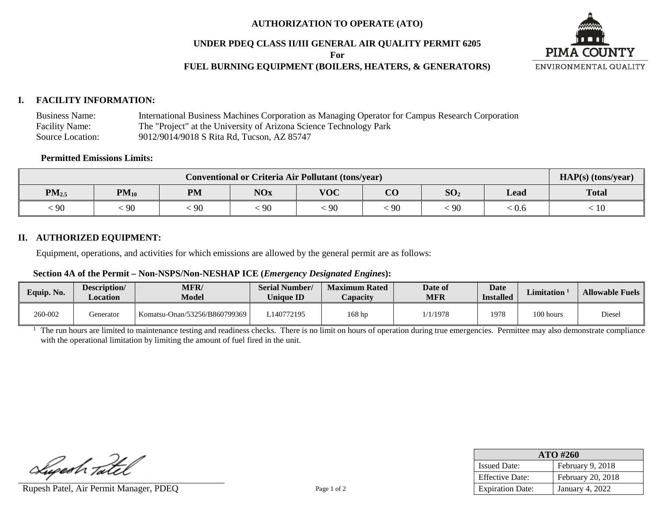## **AUTHORIZATION TO OPERATE (ATO)**

## **UNDER PDEQ CLASS II/III GENERAL AIR QUALITY PERMIT 6205**

**For**

# **FUEL BURNING EQUIPMENT (BOILERS, HEATERS, & GENERATORS)**



## **I. FACILITY INFORMATION:**

Business Name: International Business Machines Corporation as Managing Operator for Campus Research Corporation Facility Name: The "Project" at the University of Arizona Science Technology Park Source Location: 9012/9014/9018 S Rita Rd, Tucson, AZ 85747

#### **Permitted Emissions Limits:**

| Conventional or Criteria Air Pollutant (tons/year) |                             |           |            |                                        |                        |                 |      | HAP(s) (tons/year) |
|----------------------------------------------------|-----------------------------|-----------|------------|----------------------------------------|------------------------|-----------------|------|--------------------|
| $PM_{2.5}$                                         | $\mathbf{P}\mathbf{M}_{10}$ | <b>PM</b> | <b>NOx</b> | $V\Omega C$<br>$^{\prime}$ v $\rm\sim$ | $\overline{\text{CO}}$ | SO <sub>2</sub> | Lead | <b>Total</b>       |
| .90                                                | $\alpha$<br>-90             | 90        | 90         | 90                                     | 90                     | $\cdot$ 90      | :0.6 | 10                 |

## **II. AUTHORIZED EQUIPMENT:**

Equipment, operations, and activities for which emissions are allowed by the general permit are as follows:

#### **Section 4A of the Permit – Non-NSPS/Non-NESHAP ICE (***Emergency Designated Engines***):**

| Equip. No. | Description/<br><b>Location</b> | <b>MFR/</b><br><b>Model</b>   | <b>Serial Number/</b><br><b>Unique ID</b> | <b>Maximum Rated</b><br>Capacity | Date of<br>MFR | <b>Date</b><br><b>Installed</b> | <b>Limitation</b> | <b>Allowable Fuels</b> |
|------------|---------------------------------|-------------------------------|-------------------------------------------|----------------------------------|----------------|---------------------------------|-------------------|------------------------|
| 260-002    | fenerator                       | Komatsu-Onan/53256/B860799369 | 140772195                                 | 168 hp                           | 1/1/1978       | 1978                            | 100 hours         | Diesel                 |

<sup>1</sup> The run hours are limited to maintenance testing and readiness checks. There is no limit on hours of operation during true emergencies. Permittee may also demonstrate compliance with the operational limitation by limiting the amount of fuel fired in the unit.

Lupeah Tatel

Rupesh Patel, Air Permit Manager, PDEQ Page 1 of 2

| ATO #260                |                        |  |  |  |  |
|-------------------------|------------------------|--|--|--|--|
| <b>Issued Date:</b>     | February 9, 2018       |  |  |  |  |
| <b>Effective Date:</b>  | February 20, 2018      |  |  |  |  |
| <b>Expiration Date:</b> | <b>January 4, 2022</b> |  |  |  |  |